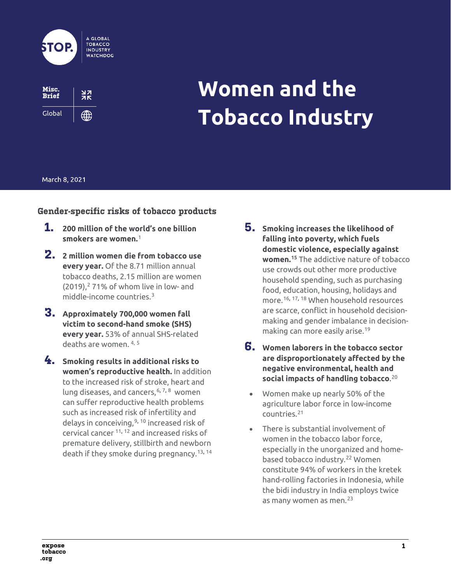



# **Women and the Tobacco Industry**

### March 8, 2021

# **Gender-specific risks of tobacco products**

- **1. 200 million of the world's one billion smokers are women.**[1](#page-8-0)
- **2. 2 million women die from tobacco use every year.** Of the 8.71 million annual tobacco deaths, 2.15 million are women  $(2019)$  $(2019)$  $(2019)$ ,  $271\%$  of whom live in low- and middle-income countries.[3](#page-8-2)
- **3. Approximately 700,000 women fall victim to second-hand smoke (SHS) every year.** 53% of annual SHS-related deaths are women. [4,](#page-8-3) [5](#page-8-4)
- **4. Smoking results in additional risks to women's reproductive health.** In addition to the increased risk of stroke, heart and lung diseases, and cancers,  $6, 7, 8$  $6, 7, 8$  $6, 7, 8$  $6, 7, 8$  women can suffer reproductive health problems such as increased risk of infertility and delays in conceiving, [9](#page-8-8), [10](#page-8-9) increased risk of cervical cancer [11,](#page-8-10) [12](#page-8-11) and increased risks of premature delivery, stillbirth and newborn death if they smoke during pregnancy.[13,](#page-8-12) [14](#page-8-13)
- **5. Smoking increases the likelihood of falling into poverty, which fuels domestic violence, especially against women.[15](#page-8-14)** The addictive nature of tobacco use crowds out other more productive household spending, such as purchasing food, education, housing, holidays and more.[16,](#page-8-15) [17](#page-8-16), [18](#page-8-17) When household resources are scarce, conflict in household decisionmaking and gender imbalance in decisionmaking can more easily arise.[19](#page-8-18)
- **6. Women laborers in the tobacco sector are disproportionately affected by the negative environmental, health and social impacts of handling tobacco**. [20](#page-8-19)
	- Women make up nearly 50% of the agriculture labor force in low-income countries.[21](#page-8-20)
	- There is substantial involvement of women in the tobacco labor force, especially in the unorganized and home-based tobacco industry.<sup>[22](#page-8-21)</sup> Women constitute 94% of workers in the kretek hand-rolling factories in Indonesia, while the bidi industry in India employs twice as many women as men. $^{23}$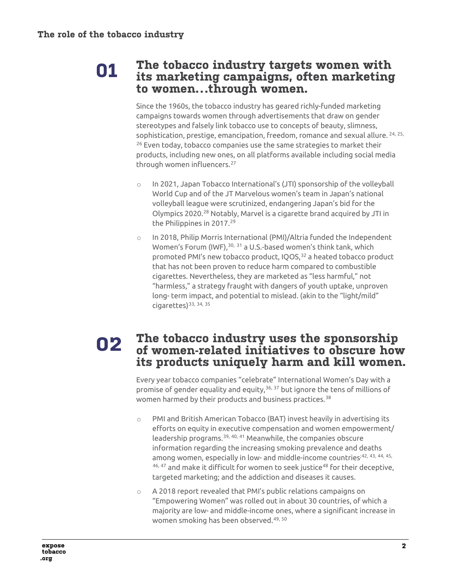# **01**

# **The tobacco industry targets women with its marketing campaigns, often marketing to women…through women.**

Since the 1960s, the tobacco industry has geared richly-funded marketing campaigns towards women through advertisements that draw on gender stereotypes and falsely link tobacco use to concepts of beauty, slimness, sophistication, prestige, emancipation, freedom, romance and sexual allure. <sup>[24](#page-8-23), [25](#page-8-24),</sup> <sup>[26](#page-8-25)</sup> Even today, tobacco companies use the same strategies to market their products, including new ones, on all platforms available including social media through women influencers.[27](#page-8-26)

- o In 2021, Japan Tobacco International's (JTI) sponsorship of the volleyball World Cup and of the JT Marvelous women's team in Japan's national volleyball league were scrutinized, endangering Japan's bid for the Olympics 2020.[28](#page-8-27) Notably, Marvel is a cigarette brand acquired by JTI in the Philippines in 2017.<sup>[29](#page-8-28)</sup>
- o In 2018, Philip Morris International (PMI)/Altria funded the Independent Women's Forum (IWF), [30](#page-8-29), [31](#page-8-30) a U.S.-based women's think tank, which promoted PMI's new tobacco product, IQOS,<sup>[32](#page-8-31)</sup> a heated tobacco product that has not been proven to reduce harm compared to combustible cigarettes. Nevertheless, they are marketed as "less harmful," not "harmless," a strategy fraught with dangers of youth uptake, unproven long- term impact, and potential to mislead. (akin to the "light/mild"  $ci \cdot$ cigarettes)<sup>[33,](#page-8-32) [34,](#page-8-33) 35</sup>

## **The tobacco industry uses the sponsorship of women-related initiatives to obscure how its products uniquely harm and kill women. 02**

Every year tobacco companies "celebrate" International Women's Day with a promise of gender equality and equity,  $36, 37$  $36, 37$  $36, 37$  but ignore the tens of millions of women harmed by their products and business practices.<sup>[38](#page-9-3)</sup>

- o PMI and British American Tobacco (BAT) invest heavily in advertising its efforts on equity in executive compensation and women empowerment/ leadership programs.[39,](#page-9-4) [40,](#page-9-5) [41](#page-9-6) Meanwhile, the companies obscure information regarding the increasing smoking prevalence and deaths among women, especially in low- and middle-income countries<sup>;[42](#page-9-7), [43](#page-9-8), [44](#page-9-9), [45](#page-9-10),</sup> [46,](#page-9-11) [47](#page-9-12) and make it difficult for women to seek justice<sup>[48](#page-9-13)</sup> for their deceptive, targeted marketing; and the addiction and diseases it causes.
- o A 2018 report revealed that PMI's public relations campaigns on "Empowering Women" was rolled out in about 30 countries, of which a majority are low- and middle-income ones, where a significant increase in women smoking has been observed.[49,](#page-9-14) [50](#page-9-15)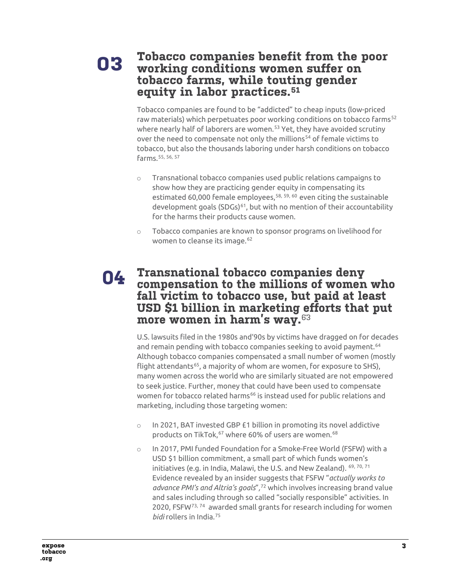## **Tobacco companies benefit from the poor working conditions women suffer on tobacco farms, while touting gender equity in labor practices.[51](#page-9-16) 03**

Tobacco companies are found to be "addicted" to cheap inputs (low-priced raw materials) which perpetuates poor working conditions on tobacco farms<sup>[52](#page-9-17)</sup> where nearly half of laborers are women.<sup>[53](#page-9-18)</sup> Yet, they have avoided scrutiny over the need to compensate not only the millions<sup>[54](#page-9-19)</sup> of female victims to tobacco, but also the thousands laboring under harsh conditions on tobacco farms.[55](#page-9-20), [56](#page-9-21), [57](#page-9-22)

- o Transnational tobacco companies used public relations campaigns to show how they are practicing gender equity in compensating its estimated 60,000 female employees,<sup>[58,](#page-9-23) [59,](#page-9-24) 60</sup> even citing the sustainable development goals (SDGs)<sup>[61](#page-9-26)</sup>, but with no mention of their accountability for the harms their products cause women.
- o Tobacco companies are known to sponsor programs on livelihood for women to cleanse its image.<sup>62</sup>

# **Transnational tobacco companies deny 04 compensation to the millions of women who fall victim to tobacco use, but paid at least USD \$1 billion in marketing efforts that put more women in harm's way.**[63](#page-10-0)

U.S. lawsuits filed in the 1980s and'90s by victims have dragged on for decades and remain pending with tobacco companies seeking to avoid payment.<sup>[64](#page-10-1)</sup> Although tobacco companies compensated a small number of women (mostly flight attendants<sup>65</sup>, a majority of whom are women, for exposure to SHS), many women across the world who are similarly situated are not empowered to seek justice. Further, money that could have been used to compensate women for tobacco related harms<sup>[66](#page-10-3)</sup> is instead used for public relations and marketing, including those targeting women:

- o In 2021, BAT invested GBP £1 billion in promoting its novel addictive products on TikTok,<sup>[67](#page-10-4)</sup> where 60% of users are women.<sup>[68](#page-10-5)</sup>
- o In 2017, PMI funded Foundation for a Smoke-Free World (FSFW) with a USD \$1 billion commitment, a small part of which funds women's initiatives (e.g. in India, Malawi, the U.S. and New Zealand). [69,](#page-10-6) [70,](#page-10-7) 71 Evidence revealed by an insider suggests that FSFW "*actually works to advance PMI's and Altria's goals*"*,* [72](#page-10-9) which involves increasing brand value and sales including through so called "socially responsible" activities. In 2020, FSFW[73](#page-10-10), [74](#page-10-11) awarded small grants for research including for women *bidi* rollers in India.[75](#page-10-12)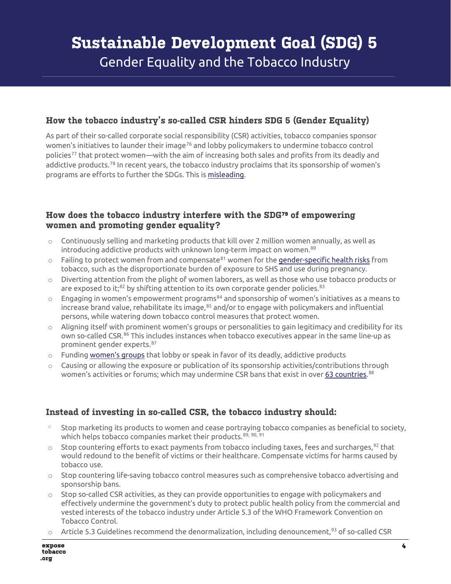# **How the tobacco industry's so-called CSR hinders SDG 5 (Gender Equality)**

As part of their so-called corporate social responsibility (CSR) activities, tobacco companies sponsor women's initiatives to launder their image<sup>[76](#page-10-13)</sup> and lobby policymakers to undermine tobacco control policies<sup>[77](#page-10-14)</sup> that protect women—with the aim of increasing both sales and profits from its deadly and addictive products.<sup>[78](#page-10-15)</sup> In recent years, the tobacco industry proclaims that its sponsorship of women's programs are efforts to further the SDGs. This i[s misleading.](https://ggtc.world/dmdocuments/TI-hinders-SDGs.pdf)

# **How does the tobacco industry interfere with the SDG[79](#page-10-16) of empowering women and promoting gender equality?**

- $\circ$  Continuously selling and marketing products that kill over 2 million women annually, as well as introducing addictive products with unknown long-term impact on women.<sup>[80](#page-10-17)</sup>
- $\circ$  Failing to protect women from and compensate $^{81}$  women for th[e gender-specific health risks](https://apps.who.int/iris/bitstream/handle/10665/339328/WHO-EURO-2021-1847-41598-56811-eng.pdf) from tobacco, such as the disproportionate burden of exposure to SHS and use during pregnancy.
- $\circ$  Diverting attention from the plight of women laborers, as well as those who use tobacco products or are exposed to it; $82$  by shifting attention to its own corporate gender policies. $83$
- $\circ$  Engaging in women's empowerment programs $^{84}$  $^{84}$  $^{84}$  and sponsorship of women's initiatives as a means to increase brand value, rehabilitate its image,[85](#page-11-4) and/or to engage with policymakers and influential persons, while watering down tobacco control measures that protect women.
- $\circ$  Aligning itself with prominent women's groups or personalities to gain legitimacy and credibility for its own so-called CSR.<sup>[86](#page-11-5)</sup> This includes instances when tobacco executives appear in the same line-up as prominent gender experts.[87](#page-11-6)
- $\circ$  Funding [women's groups](https://exposetobacco.org/tobacco-allies/independent-womens-forum/) that lobby or speak in favor of its deadly, addictive products
- $\circ$  Causing or allowing the exposure or publication of its sponsorship activities/contributions through women's activities or forums; which may undermine CSR bans that exist in over <u>63 countries.</u>.<sup>[88](#page-11-7)</sup>

# **Instead of investing in so-called CSR, the tobacco industry should:**

- Stop marketing its products to women and cease portraying tobacco companies as beneficial to society, which helps tobacco companies market their products.<sup>[89](#page-11-8), [90](#page-11-9), [91](#page-11-10)</sup>
- $\circ$  Stop countering efforts to exact payments from tobacco including taxes, fees and surcharges,  $^{92}$  $^{92}$  $^{92}$  that would redound to the benefit of victims or their healthcare. Compensate victims for harms caused by tobacco use.
- $\circ$  Stop countering life-saving tobacco control measures such as comprehensive tobacco advertising and sponsorship bans.
- $\circ$  Stop so-called CSR activities, as they can provide opportunities to engage with policymakers and effectively undermine the government's duty to protect public health policy from the commercial and vested interests of the tobacco industry under Article 5.3 of the WHO Framework Convention on Tobacco Control.
- $\circ$  Article 5.3 Guidelines recommend the denormalization, including denouncement,<sup>[93](#page-11-12)</sup> of so-called CSR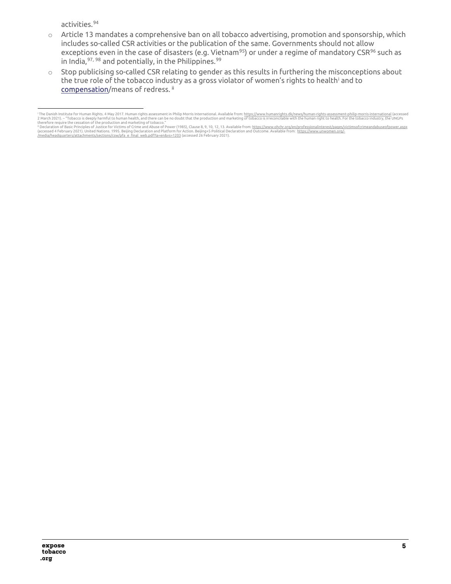activities.[94](#page-11-13)

- o Article 13 mandates a comprehensive ban on all tobacco advertising, promotion and sponsorship, which includes so-called CSR activities or the publication of the same. Governments should not allow exceptions even in the case of disasters (e.g. Vietnam<sup>[95](#page-11-14)</sup>) or under a regime of mandatory CSR<sup>[96](#page-11-15)</sup> such as in India,  $97, 98$  $97, 98$  $97, 98$  and potentially, in the Philippines.  $99$
- o Stop publicising so-called CSR relating to gender as this results in furthering the misconceptions about the true role of the tobacco [i](#page-4-0)ndustry as a gross violator of women's rights to health<sup>i</sup> and to [compensation/](https://exposetobacco.org/wp-content/uploads/TI_Accountability_Policy_Brief.pdf)means of redress.<sup>[ii](#page-4-1)</sup>

<span id="page-4-0"></span><sup>&</sup>lt;sup>i</sup> The Danish Institute for Human Rights. 4 May 2017. Human rights assessment in Philip Morris International. Available from: <u>https://www.humanrights.dk/news/human-rights-assessment-philip-morris-international (accessed<br></u>

<span id="page-4-1"></span><sup>(</sup>accessed 4 February 2021). United Nations. 1995. Beijing Declaration and Platform for Action. Beijing+5 Political Declaration and Outcome. Available from: <u>https://www.unwomen.org/-</u><br>/media/headquarters/attachments/sectio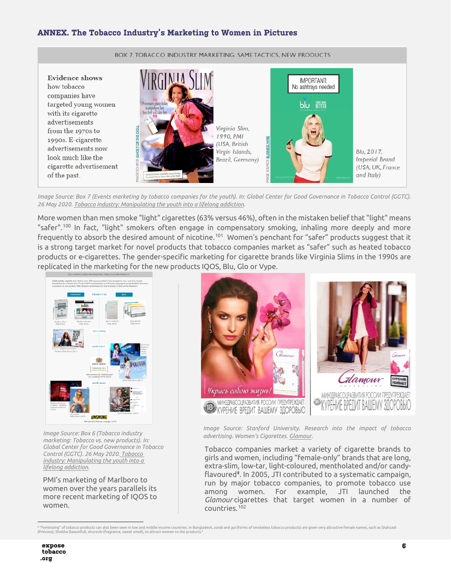## **ANNEX. The Tobacco Industry's Marketing to Women in Pictures**



*Image Source: Box 7 (Events marketing by tobacco companies for the youth). In: Global Center for Good Governance in Tobacco Control (GGTC). 26 May 2020[. Tobacco industry: Manipulating the youth into a lifelong addiction.](https://ggtc.world/2020/05/26/tobacco-industry-manipulating-the-youth-into-a-lifelong-addiction/)* 

More women than men smoke "light" cigarettes (63% versus 46%), often in the mistaken belief that "light" means "safer".<sup>[100](#page-11-1)</sup> In fact, "light" smokers often engage in compensatory smoking, inhaling more deeply and more frequently to absorb the desired amount of nicotine.<sup>[101](#page-11-18)</sup> Women's penchant for "safer" products suggest that it is a strong target market for novel products that tobacco companies market as "safer" such as heated tobacco products or e-cigarettes. The gender-specific marketing for cigarette brands like Virginia Slims in the 1990s are replicated in the marketing for the new products IQOS, Blu, Glo or Vype.



*Image Source: Box 6 (Tobacco industry marketing: Tobacco vs. new products). In: Global Center for Good Governance in Tobacco Control (GGTC). 26 May 2020. [Tobacco](https://ggtc.world/2020/05/26/tobacco-industry-manipulating-the-youth-into-a-lifelong-addiction/)  [industry: Manipulating the youth into a](https://ggtc.world/2020/05/26/tobacco-industry-manipulating-the-youth-into-a-lifelong-addiction/)  [lifelong addiction.](https://ggtc.world/2020/05/26/tobacco-industry-manipulating-the-youth-into-a-lifelong-addiction/)* 

PMI's marketing of Marlboro to women over the years parallels its more recent marketing of IQOS to women.



*Image Source: Stanford University. Research into the impact of tobacco advertising. Women's Cigarettes. [Glamour.](http://tobacco.stanford.edu/tobacco_main/images.php?token2=fm_st245.php&token1=fm_img7034.php&theme_file=fm_mt013.php&theme_name=Women%27s%20Cigarettes&subtheme_name=Glamour)* 

Tobacco companies market a variety of cigarette brands to girls and women, including "female-only" brands that are long, extra-slim, low-tar, light-coloured, mentholated and/or candyflavoured[‡](#page-5-0) . In 2005, JTI contributed to a systematic campaign, run by major tobacco companies, to promote tobacco use among women. For example, JTI launched the *Glamour* cigarettes that target women in a number of countries.[102](#page-11-19)

<span id="page-5-0"></span>‡ "Feminizing" of tobacco products can also been seen in low and middle income countries. In Bangladesh, *zarda* and *gul* (forms of smokeless tobacco products) are given very attractive female names, such as Shahzadi<br>(Pri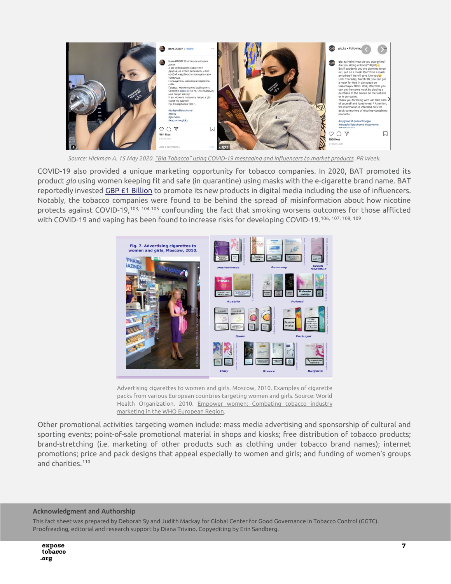

*Source: Hickman A. 15 May 2020[. "Big Tobacco" using COVID-19 messaging and influencers to market products.](https://www.prweek.com/article/1683314/big-tobacco-using-covid-19-messaging-influencers-market-products) PR Week.* 

COVID-19 also provided a unique marketing opportunity for tobacco companies. In 2020, BAT promoted its product *glo* using women keeping fit and safe (in quarantine) using masks with the e-cigarette brand name. BAT reportedly invested [GBP £1 Billion](https://www.theguardian.com/business/2021/feb/20/tobacco-giant-bets-1bn-on-social-media-influencers-to-boost-lung-friendlier-sales) to promote its new products in digital media including the use of influencers. Notably, the tobacco companies were found to be behind the spread of misinformation about how nicotine protects against COVID-19,[103,](#page-11-20) [104,](#page-11-21)[105](#page-11-22) confounding the fact that smoking worsens outcomes for those afflicted with COVID-19 and vaping has been found to increase risks for developing COVID-19.[106,](#page-11-23) [107](#page-11-4), [108,](#page-11-24) [109](#page-11-25)



Advertising cigarettes to women and girls. Moscow, 2010. Examples of cigarette packs from various European countries targeting women and girls. Source: World Health Organization. 2010. Empower women: Combating tobacco industry [marketing in the WHO European Region.](https://www.euro.who.int/__data/assets/pdf_file/0014/128120/e93852.pdf) 

Other promotional activities targeting women include: mass media advertising and sponsorship of cultural and sporting events; point-of-sale promotional material in shops and kiosks; free distribution of tobacco products; brand-stretching (i.e. marketing of other products such as clothing under tobacco brand names); internet promotions; price and pack designs that appeal especially to women and girls; and funding of women's groups and charities.<sup>[110](#page-11-26)</sup>

#### **Acknowledgment and Authorship**

This fact sheet was prepared by Deborah Sy and Judith Mackay for Global Center for Good Governance in Tobacco Control (GGTC). Proofreading, editorial and research support by Diana Trivino. Copyediting by Erin Sandberg.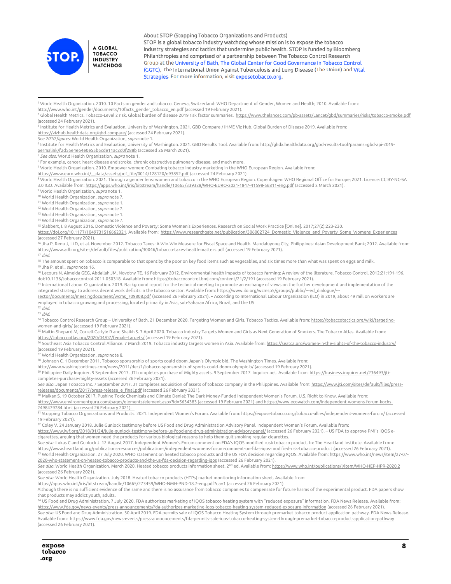

About STOP (Stopping Tobacco Organizations and Products) STOP is a global tobacco industry watchdog whose mission is to expose the tobacco industry strategies and tactics that undermine public health. STOP is funded by Bloomberg Philanthropies and comprised of a partnership between The Tobacco Control Research Group at the University of Bath, The Global Center for Good Governance in Tobacco Control (GGTC), the International Union Against Tuberculosis and Lung Disease (The Union) and Vital Strategies. For more information, visit exposetobacco.org.

<sup>1</sup> World Health Organization. 2010. 10 Facts on gender and tobacco. Geneva, Switzerland: WHO Department of Gender, Women and Health; 2010. Available from:

[http://www.who.int/gender/documents/10facts\\_gender\\_tobacco\\_en.pdf](http://www.who.int/gender/documents/10facts_gender_tobacco_en.pdf) (accessed 19 February 2021).

<sup>2</sup> Global Health Metrics. Tobacco-Level 2 risk. Global burden of disease 2019 risk factor summaries. <u>https://www.thelancet.com/pb-assets/Lancet/gbd/summaries/ri</u>sks/tobacco-smoke.pdf (accessed 24 February 2021).

<sup>3</sup> Institute for Health Metrics and Evaluation, University of Washington. 2021. GBD Compare / IHME Viz Hub. Global Burden of Disease 2019. Available from:

<https://vizhub.healthdata.org/gbd-compare/> (accessed 24 February 2021).

See 2010 figures: World Health Organization, supranote 1.<br><sup>4</sup> Institute for Health Metrics and Evaluation, University of Washington. 2021. GBD Results Tool. Available from: <u>http://qhdx.healthdata.orq/qbd-results-tool?para</u> [permalink/f2d55e4e64e0e55b5cde11ac2d0f288b](http://ghdx.healthdata.org/gbd-results-tool?params=gbd-api-2019-permalink/f2d55e4e64e0e55b5cde11ac2d0f288b) (accessed 26 March 2021).

<sup>5</sup> *See also:* World Health Organization, *supra* note 1.<br><sup>6</sup> For example, cancer, heart disease and stroke, chronic obstructive pulmonary disease, and much more.

<sup>7</sup> World Health Organization. 2010. Empower women: Combating tobacco industry marketing in the WHO European Region. Available from:

https://www.euro.who.int/ data/assets/pdf file/0014/128120/e93852.pdf (accessed 24 February 2021).

<sup>8</sup> World Health Organization. 2021. Through a gender lens: women and tobacco in the WHO European Region. Copenhagen: WHO Regional Office for Europe; 2021. Licence: CC BY-NC-SA 3.0 IGO. Available from: <u>https://apps.who.int/iris/bitstream/handle/10665/339328/WHO-EURO-2021-1847-41598-56811-eng.pdf [\(](https://apps.who.int/iris/bitstream/handle/10665/339328/WHO-EURO-2021-1847-41598-56811-eng.pdf)accessed 2 March 2021).<br><sup>9</sup> World Health Organization, *supra* note 1.<br><sup>10</sup> World Health Organizatio</u>

<sup>15</sup> Slabbert, I. 8 August 2016. Domestic Violence and Poverty: Some Women's Experiences. Research on Social Work Practice [Online]. 2017;27(2):223-230.

[https://doi.org/10.1177/1049731516662321.](https://doi.org/10.1177/1049731516662321) Available from: https://www.researchgate.net/publication/306002724 Domestic Violence and Poverty Some Womens Experiences (accessed 27 February 2021).

<sup>16</sup> Jha P, Renu J, Li D, et al. November 2012. Tobacco Taxes: A Win-Win Measure for Fiscal Space and Health. Mandaluyong City, Philippines: Asian Development Bank; 2012. Available from: <https://www.adb.org/sites/default/files/publication/30046/tobacco-taxes-health-matters.pdf> (accessed 19 February 2021).

<sup>17</sup> *Ibid*.

<sup>18</sup> The amount spent on tobacco is comparable to that spent by the poor on key food items such as vegetables, and six times more than what was spent on eggs and milk.<br><sup>19</sup> Jha P, et al., *supra* note 16.

<sup>20</sup> Lecours N, Almeida GEG, Abdallah JM, Novotny TE. 16 February 2012. Environmental health impacts of tobacco farming: A review of the literature. Tobacco Control. 2012;21:191-196. doi:10.1136/tobaccocontrol-2011-050318. Available from: https://tobaccocontrol.bmj.com/content/21/2/191 (accessed 19 February 2021).

<sup>21</sup> International Labour Organization. 2019. Background report for the technical meeting to promote an exchange of views on the further development and implementation of the integrated strategy to address decent work deficits in the tobacco sector. Available from: https://www.ilo.org/wcmsp5/groups/public/---ed\_dialogue/--

[sector/documents/meetingdocument/wcms\\_709808.pdf](https://www.ilo.org/wcmsp5/groups/public/---ed_dialogue/---sector/documents/meetingdocument/wcms_709808.pdf) (accessed 26 February 2021). – According to International Labour Organization (ILO) in 2019, about 49 million workers are employed in tobacco growing and processing, located primarily in Asia, sub-Saharan Africa, Brazil, and the US<br><sup>22</sup> Ibid.

<sup>23</sup> *Ibid.*<br><sup>24</sup> Tobacco Control Research Group – University of Bath. 21 December 2020. Targeting Women and Girls. Tobacco Tactics. Available from: <u>https://tobaccotactics.org/wiki/targeting-</u>

women-and-girls/ [\(](https://tobaccotactics.org/wiki/targeting-women-and-girls/)accessed 19 February 2021).<br><sup>25</sup> Maitin-Shepard M, Correll-Carlyle R and Shaikh S. 7 April 2020. Tobacco Industry Targets Women and Girls as Next Generation of Smokers. The Tobacco Atlas. Available from:

<u>https://tobaccoatlas.org/2020/04/07/female-targets/</u> [\(](https://tobaccoatlas.org/2020/04/07/female-targets/)accessed 19 February 2021).<br><sup>26</sup> Southeast Asia Tobacco Control Alliance. 7 March 2019. Tobacco industry targets women in Asia. Available from: <u>https://seatca.org/wom</u> (accessed 19 February 2021).

<sup>27</sup> World Health Organization, *supra* note 8.<br><sup>28</sup> Johnson C. 1 December 2011. Tobacco sponsorship of sports could doom Japan's Olympic bid. The Washington Times. Available from:

http://www.washingtontimes.com/news/2011/dec/1/tobacco-sponsorship-of-sports-could-doom-olympic-b/ [\(](http://www.washingtontimes.com/news/2011/dec/1/tobacco-sponsorship-of-sports-could-doom-olympic-b/)accessed 19 February 2021).<br><sup>29</sup> Philippine Daily Inquirer. 9 September 2017. JTI completes purchase of Mighty assets. 9 S [completes-purchase-mighty-assets](https://business.inquirer.net/236493/jti-completes-purchase-mighty-assets) (accessed 26 February 2021).

*See also*: Japan Tobacco Inc. 7 September 2017. JT completes acquisition of assets of tobacco company in the Philippines. Available from[: https://www.jti.com/sites/default/files/press-](https://www.jti.com/sites/default/files/press-releases/documents/2017/press-release_e_final.pdf)releases/documents/2017/press-release e final.pdf [\(](https://www.jti.com/sites/default/files/press-releases/documents/2017/press-release_e_final.pdf)accessed 26 February 2021).<br><sup>30</sup> Malkan S. 19 October 2017. Pushing Toxic Chemicals and Climate Denial: The Dark Money-Funded Independent Women's Forum. U.S. Right to Know

<https://www.environmentguru.com/pages/elements/element.aspx?id=5634383> (accessed 19 February 2021) an[d https://www.ecowatch.com/independent-womens-forum-kochs-](https://www.ecowatch.com/independent-womens-forum-kochs-2498479784.html)

<sup>31</sup> Stopping Tobacco Organizations and Products. 2021. Independent Women's Forum. Available from: <u>https://exposetobacco.org/tobacco-allies/independent-womens-forum/</u> [\(](https://www.ecowatch.com/independent-womens-forum-kochs-2498479784.html)accessed 19 February 2021).

<sup>32</sup> Coley V. 24 January 2018. Julie Gunlock testimony before US Food and Drug Administration Advisory Panel. Independent Women's Forum. Available from:

<https://www.iwf.org/2018/01/24/julie-gunlock-testimony-before-us-food-and-drug-administration-advisory-panel/> (accessed 26 February 2021). – US FDA to approve PMI's IQOS ecigarettes, arguing that women need the products for various biological reasons to help them quit smoking regular cigarettes.

*See also*: Lukas C and Gunlock J. 12 August 2017. Independent Women's Forum comment on FDA's IQOS modified rusk tobacco product. In: The Heartland Institute. Available from: https://www.heartland.org/publications-resources/publications/independent-womens-forum-comment-on-fdas-igos-modified-risk-tobacco-product [\(](https://www.heartland.org/publications-resources/publications/independent-womens-forum-comment-on-fdas-iqos-modified-risk-tobacco-product)accessed 26 February 2021).<br><sup>33</sup> World Health Organization. 27 July 2020. WHO state

<u>[2020-who-statement-on-heated-tobacco-products-and-the-us-fda-decision-regarding-iqos](https://www.who.int/news/item/27-07-2020-who-statement-on-heated-tobacco-products-and-the-us-fda-decision-regarding-iqos) (</u>cccessed 26 February 2021).<br>*See also*: World Health Organization. March 2020. Heated tobacco products information sheet. 2<sup>nd</sup> ed. Av (accessed 26 February 2021).

*See also*: World Health Organization. July 2018. Heated tobacco products (HTPs) market monitoring information sheet. Available from:

<https://apps.who.int/iris/bitstream/handle/10665/273459/WHO-NMH-PND-18.7-eng.pdf?ua=1> (accessed 26 February 2021).

Although there is no sufficient evidence of the same and there is no assurance from tobacco companies to compensate for future harms of the experimental product. FDA papers show that products may addict youth, adults.

<sup>34</sup> US Food and Drug Administration. 7 July 2020. FDA authorizes marketing of IQOS tobacco heating system with "reduced exposure" information. FDA News Release. Available from: <https://www.fda.gov/news-events/press-announcements/fda-authorizes-marketing-iqos-tobacco-heating-system-reduced-exposure-information> (accessed 26 February 2021).

*See also*: US Food and Drug Administration. 30 April 2019. FDA permits sale of IQOS Tobacco Heating System through premarket tobacco product application pathway. FDA News Release. Available from:<https://www.fda.gov/news-events/press-announcements/fda-permits-sale-iqos-tobacco-heating-system-through-premarket-tobacco-product-application-pathway> (accessed 26 February 2021).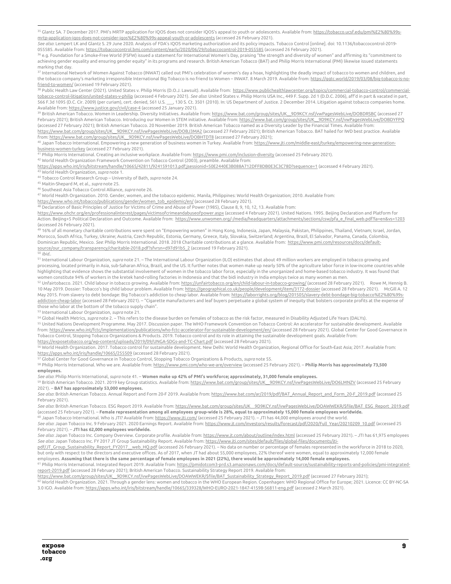<sup>35</sup> Glantz SA. 7 December 2017. PMI's MRTP application for IQOS does not consider IQOS's appeal to youth or adolescents. Available from[: https://tobacco.ucsf.edu/pmi%E2%80%99s](https://tobacco.ucsf.edu/pmi%E2%80%99s-mrtp-application-iqos-does-not-consider-iqos%E2%80%99s-appeal-youth-or-adolescents)[mrtp-application-iqos-does-not-consider-iqos%E2%80%99s-appeal-youth-or-adolescents](https://tobacco.ucsf.edu/pmi%E2%80%99s-mrtp-application-iqos-does-not-consider-iqos%E2%80%99s-appeal-youth-or-adolescents) (accessed 26 February 2021).

*See also*: Lempert LK and Glantz S. 29 June 2020. Analysis of FDA's IQOS marketing authorization and its policy impacts. Tobacco Control [online]. doi: 10.1136/tobaccocontrol-2019-

055585. Available from: <u>https://tobaccocontrol.bmj.com/content/early/2020/06/29/tobaccocontrol-2019-055585</u> [\(](https://tobaccocontrol.bmj.com/content/early/2020/06/29/tobaccocontrol-2019-055585)accessed 26 February 2021).<br><sup>36</sup> e.g. Foundation for a Smoke-Free World (FSFW) issued a statement for Internatio marking that day.

<sup>37</sup> International Network of Women Against Tobacco (INWAT) called out PMI's celebration of women's day a hoax, highlighting the deadly impact of tobacco to women and children, and the tobacco company's marketing irresponsible International Big Tobacco is no friend to Women – INWAT. 8 March 2019. Available from[: https://ggtc.world/2019/03/08/big-tobacco-is-no-](https://ggtc.world/2019/03/08/big-tobacco-is-no-friend-to-women/)

friend-to-women/ [\(](https://ggtc.world/2019/03/08/big-tobacco-is-no-friend-to-women/)accessed 19 February 2021).<br><sup>38</sup> Public Health Law Center (2021). United States v. Philip Morris (D.O.J. Lawsuit). Available from: <u>https://www.publichealthlawcenter.org/topics/commercial-tobacco-control/</u> [tobacco-control-litigation/united-states-v-philip](https://www.publichealthlawcenter.org/topics/commercial-tobacco-control/commercial-tobacco-control-litigation/united-states-v-philip) (accessed 4 February 2021). *See also*: United States v. Philip Morris USA Inc., 449 F. Supp. 2d 1 (D.D.C. 2006), aff'd in part & vacated in part, 566 F.3d 1095 (D.C. Cir. 2009) (per curiam), cert. denied, 561 U.S. \_\_\_, 130 S. Ct. 3501 (2010). In: US Department of Justice. 2 December 2014. Litigation against tobacco companies home. Available from[: https://www.justice.gov/civil/case-4](https://www.justice.gov/civil/case-4) (accessed 25 January 2021).

<span id="page-8-1"></span><span id="page-8-0"></span><sup>39</sup> British American Tobacco. Women in Leadership. Diversity Initiatives. Available from: https://www.bat.com/group/sites/UK\_9D9KCY.nsf/vwPagesWebLive/DOBDRSBC (accessed 27 February 2021); British American Tobacco. Introducing our Women in STEM initiative. Available from[: https://www.bat.com/group/sites/UK\\_\\_9D9KCY.nsf/vwPagesWebLive/DOBDYFPQ](https://www.bat.com/group/sites/UK__9D9KCY.nsf/vwPagesWebLive/DOBDYFPQ) (accessed 27 February 2021); British American Tobacco. 20 November 2019. British American Tobacco named as a Diversity Leader by the Financial Times. Available from: https://www.bat.com/group/sites/UK\_9D9KCY.nsf/vwPagesWebLive/DOBJ3MA2 (accessed 27 February 2021); British American Tobacco. BAT hailed for IWD best practice. Available

<span id="page-8-3"></span><span id="page-8-2"></span>from: <u>https://www.bat.com/qroup/sites/UK\_9D9KCY.nsf/vwPaqesWebLive/DOBHTDT8</u> [\(](https://www.bat.com/group/sites/UK__9D9KCY.nsf/vwPagesWebLive/DOBHTDT8)accessed 27 February 2021);<br><sup>40</sup> Japan Tobacco International. Empowering a new generation of business women in Turkey. Available from: <u>https:/</u> [business-women-turkey](https://www.jti.com/middle-east/turkey/empowering-new-generation-business-women-turkey) (accessed 27 February 2021).

<span id="page-8-4"></span><sup>41</sup> Philip Morris International. Creating an inclusive workplace. Available from: <u>https://www.pmi.com/inclusion-diversity</u> [\(](https://www.pmi.com/inclusion-diversity)accessed 25 February 2021).<br><sup>42</sup> World Health Organization Framework Convention on Tobacco Contr

<span id="page-8-6"></span><span id="page-8-5"></span>https://apps.who.int/iris/bitstream/handle/10665/42811/9241591013.pdf;jsessionid=50E2440E3B088A712DFF8DB0E3C3C78D?sequence=1 [\(](https://apps.who.int/iris/bitstream/handle/10665/42811/9241591013.pdf;jsessionid=50E2440E3B088A712DFF8DB0E3C3C78D?sequence=1)accessed 4 February 2021).<br><sup>43</sup> World Health Organization, *supra* note 1.<br><sup>44</sup> Tobacco Control

<span id="page-8-7"></span>

<span id="page-8-9"></span><span id="page-8-8"></span><sup>47</sup> World Health Organization. 2010. Gender, women, and the tobacco epidemic. Manila, Philippines: World Health Organization; 2010. Available from:

<span id="page-8-10"></span><u>https://www.who.int/tobacco/publications/gender/women\_tob\_epidemic/en/</u> [\(](https://www.who.int/tobacco/publications/gender/women_tob_epidemic/en/)accessed 28 February 2021).<br><sup>48</sup> Declaration of Basic Principles of Justice for Victims of Crime and Abuse of Power (1985), Clause 8, 9, 10, 12, 13.

<span id="page-8-13"></span><span id="page-8-12"></span><span id="page-8-11"></span><https://www.ohchr.org/en/professionalinterest/pages/victimsofcrimeandabuseofpower.aspx> (accessed 4 February 2021). United Nations. 1995. Beijing Declaration and Platform for Action. Beijing+5 Political Declaration and Outcome. Available from: [https://www.unwomen.org/-/media/headquarters/attachments/sections/csw/pfa\\_e\\_final\\_web.pdf?la=en&vs=1203](https://www.unwomen.org/-/media/headquarters/attachments/sections/csw/pfa_e_final_web.pdf?la=en&vs=1203) (accessed 26 February 2021).

<span id="page-8-15"></span><span id="page-8-14"></span><sup>49</sup> 16% of all monetary charitable contributions were spent on "Empowering women" in Hong Kong, Indonesia, Japan, Malaysia, Pakistan, Philippines, Thailand, Vietnam; Israel, Jordan, Morocco, South Africa, Turkey, Ukraine; Austria, Czech Republic, Estonia, Germany, Greece, Italy, Slovakia, Switzerland; Argentina, Brazil, El Salvador, Panama, Canada, Colombia, Dominican Republic, Mexico. *See*: Philip Morris International. 2018. 2018 Charitable contributions at a glance. Available from: [https://www.pmi.com/resources/docs/default](https://www.pmi.com/resources/docs/default-source/our_company/transparency/charitable-2018.pdf?sfvrsn=d97d91b5_2)source/our\_company/transparency/charitable-2018.pdf?sfvrsn=d97d91b5\_2 [\(](https://www.pmi.com/resources/docs/default-source/our_company/transparency/charitable-2018.pdf?sfvrsn=d97d91b5_2)accessed 19 February 2021). 50 *Ibid*..

<span id="page-8-18"></span><span id="page-8-17"></span><span id="page-8-16"></span><sup>51</sup> International Labour Organization, *supra* note 21. – The International Labour Organization (ILO) estimates that about 49 million workers are employed in tobacco growing and processing, located primarily in Asia, sub-Saharan Africa, Brazil, and the US. It further notes that women make up nearly 50% of the agriculture labor force in low-income countries while highlighting that evidence shows the substantial involvement of women in the tobacco labor force, especially in the unorganized and home-based tobacco industry. It was found that women constitute 94% of workers in the kretek hand-rolling factories in Indonesia and that the bidi industry in India employs twice as many women as men.

<span id="page-8-20"></span><span id="page-8-19"></span><sup>52</sup> Unfairtobacco. 2021. Child labour in tobacco growing. Available from[: https://unfairtobacco.org/en/child-labour-in-tobacco-growing/](https://unfairtobacco.org/en/child-labour-in-tobacco-growing/) (accessed 28 February 2021). Rowe M, Hennig B. 10 May 2019. Dossier: Tobacco's big child labour problem. Available from[: https://geographical.co.uk/people/development/item/3172-dossier](https://geographical.co.uk/people/development/item/3172-dossier) (accessed 28 February 2021). McGill A. 12 May 2015. From slavery to debt bondage: Big Tobacco's addiction to cheap labor. Available from[: https://laborrights.org/blog/201505/slavery-debt-bondage-big-tobacco%E2%80%99s](https://laborrights.org/blog/201505/slavery-debt-bondage-big-tobacco%E2%80%99s-addiction-cheap-labor)[addiction-cheap-labor](https://laborrights.org/blog/201505/slavery-debt-bondage-big-tobacco%E2%80%99s-addiction-cheap-labor) (accessed 28 February 2021). – "Cigarette manufacturers and leaf buyers perpetuate a global system of inequity that bolsters corporate profits at the expense of those who labor at the bottom of the tobacco supply chain"<br> $^{53}$  International Labour Organization, *supra* note 21.

<span id="page-8-21"></span>

<span id="page-8-23"></span><span id="page-8-22"></span><sup>54</sup> Global Health Metrics, supranote 2. – This refers to the disease burden on females of tobacco as the risk factor, measured in Disability Adjusted Life Years (DALYs).

<sup>55</sup> United Nations Development Programme. May 2017. Discussion paper. The WHO Framework Convention on Tobacco Control: An accelerator for sustainable development. Available from[: https://www.who.int/fctc/implementation/publications/who-fctc-accelerator-for-sustainable-development/en/](https://www.who.int/fctc/implementation/publications/who-fctc-accelerator-for-sustainable-development/en/) (accessed 28 February 2021). Global Center for Good Governance in Tobacco Control, Stopping Tobacco Organizations & Products. 2019. Tobacco control and its role in attaining the sustainable development goals. Available from:

<span id="page-8-25"></span><span id="page-8-24"></span><u>https://exposetobacco.org/wp-content/uploads/2019/09/UNGA-SDGs-and-TC-Chart.pdf</u> [\(](https://exposetobacco.org/wp-content/uploads/2019/09/UNGA-SDGs-and-TC-Chart.pdf)accessed 28 February 2021).<br><sup>56</sup> World Health Organization. 2017. Tobacco control for sustainable development. New Delhi: World Health Orga

<span id="page-8-26"></span>https://apps.who.int/iris/handle/10665/255509 [\(](https://apps.who.int/iris/handle/10665/255509)accessed 28 February 2021). 57 Global Center for Good Governance in Tobacco Control, Stopping Tobacco Organizations & Products, *supra* note 55.

<span id="page-8-27"></span><sup>58</sup> Philip Morris International. Who we are. Available from[: https://www.pmi.com/who-we-are/overview](https://www.pmi.com/who-we-are/overview) (accessed 25 February 2021). – **Philip Morris has approximately 73,500 employees.**

<span id="page-8-28"></span>*See also*: Philip Morris International, *supra* note 41. – **Women make up 42% of PMI's workforce; approximately, 31,000 female employees.**

<sup>59</sup> British American Tobacco. 2021. 2019 key Group statistics. Available from[: https://www.bat.com/group/sites/UK\\_\\_9D9KCY.nsf/vwPagesWebLive/DO6LMNZV](https://www.bat.com/group/sites/UK__9D9KCY.nsf/vwPagesWebLive/DO6LMNZV) (accessed 25 February 2021). – **BAT has approximately 53,000 employees.**

<span id="page-8-29"></span>*See also*: British American Tobacco. Annual Report and Form 20-F 2019. Available from[: https://www.bat.com/ar/2019/pdf/BAT\\_Annual\\_Report\\_and\\_Form\\_20-F\\_2019.pdf](https://www.bat.com/ar/2019/pdf/BAT_Annual_Report_and_Form_20-F_2019.pdf) (accessed 25 February 2021).

*See also*: British American Tobacco. ESG Report 2019. Available from[: https://www.bat.com/group/sites/UK\\_\\_9D9KCY.nsf/vwPagesWebLive/DOAWWEKR/\\$file/BAT\\_ESG\\_Report\\_2019.pdf](https://www.bat.com/group/sites/UK__9D9KCY.nsf/vwPagesWebLive/DOAWWEKR/$file/BAT_ESG_Report_2019.pdf) (accessed 25 February 2021). – **Female representation among all employees group-wide is 28%, equal to approximately 15,000 female employees worldwide.**

<span id="page-8-31"></span><span id="page-8-30"></span><sup>60</sup> Japan Tobacco International. Who is JTI? Available from: <u>https://www.jti.com/</u> (accessed 25 February 2021). – JTI has 44,000 employees around the world. See also: Japan Tobacco Inc. 9 February 2021. 2020 Earnings Report. Available from[: https://www.jt.com/investors/results/forecast/pdf/2020/Full\\_Year/20210209\\_10.pdf](https://www.jt.com/investors/results/forecast/pdf/2020/Full_Year/20210209_10.pdf) (accessed 25

February 2021). – **JTI has 62,000 employees worldwide.**

*See also*: Japan Tobacco Inc. Company Overview. Corporate profile. Available from[: https://www.jt.com/about/outline/index.html](https://www.jt.com/about/outline/index.html) (accessed 25 February 2021). – JTI has 61,975 employees *See also*: Japan Tobacco Inc. FY 2017 JT Group Sustainability Report. Available from[: https://www.jti.com/sites/default/files/global-files/documents/jti-](https://www.jti.com/sites/default/files/global-files/documents/jti-pdf/JT_Group_Sustainability_Report_FY2017__web_HQ.pdf)

pdf/JT\_Group\_Sustainability\_Report\_FY2017\_web\_HQ.pdf (accessed 26 February 2021). – No data on number or percentage of females represented in the workforce in 2018 to 2020, but only with respect to the directors and executive offices. As of 2017, when JT had about 55,000 employees, 22% thereof were women, equal to approximately 12,000 female employees. **Assuming that there is the same percentage of female employees in 2021 (22%), there would be approximately 14,000 female employees.**

<span id="page-8-32"></span><sup>61</sup> Philip Morris International. Integrated Report 2019. Available from[: https://pmidotcom3-prd.s3.amazonaws.com/docs/default-source/sustainability-reports-and-policies/pmi-integrated](https://pmidotcom3-prd.s3.amazonaws.com/docs/default-source/sustainability-reports-and-policies/pmi-integrated-report-2019.pdf)[report-2019.pdf](https://pmidotcom3-prd.s3.amazonaws.com/docs/default-source/sustainability-reports-and-policies/pmi-integrated-report-2019.pdf) (accessed 28 February 2021); British American Tobacco. Sustainability Strategy Report 2019. Available from:

https://www.bat.com/group/sites/UK\_9D9KCY.nsf/vwPagesWebLive/DOAWWEKR/\$file/BAT\_Sustainability\_Strategy\_Report\_2019.pdf [\(](https://www.bat.com/group/sites/UK__9D9KCY.nsf/vwPagesWebLive/DOAWWEKR/$file/BAT_Sustainability_Strategy_Report_2019.pdf)accessed 27 February 2021);<br><sup>62</sup> World Health Organization. 2021. Through a gender lens: women and to

<span id="page-8-33"></span>3.0 IGO. Available from[: https://apps.who.int/iris/bitstream/handle/10665/339328/WHO-EURO-2021-1847-41598-56811-eng.pdf](https://apps.who.int/iris/bitstream/handle/10665/339328/WHO-EURO-2021-1847-41598-56811-eng.pdf) (accessed 2 March 2021).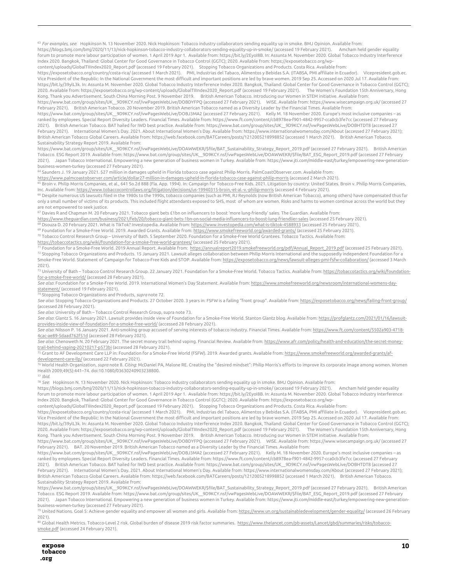<span id="page-9-0"></span><sup>63</sup> *For examples, see*: Hopkinson N. 13 November 2020. Nick Hopkinson: Tobacco industry collaborators sending equality up in smoke. BMJ Opinion. Available from: https://blogs.bmj.com/bmj/2020/11/13/nick-hopkinson-tobacco-industry-collaborators-sending-equality-up-in-smoke/ (accessed 19 February 2021). Amcham held gender equality forum to promote more labour participation of women. 1 April 2019 Apr 1. Available from: https://bit.ly/2EyoI8B. In: Assunta M. November 2020. Global Tobacco Industry Interference Index 2020. Bangkok, Thailand: Global Center for Good Governance in Tobacco Control (GGTC); 2020. Available from: https://exposetobacco.org/wp-

<span id="page-9-2"></span><span id="page-9-1"></span>content/uploads/GlobalTIIIndex2020\_Report.pdf (accessed 19 February 2021). Stopping Tobacco Organizations and Products. Costa Rica. Available from: https://exposetobacco.org/country/costa-rica/ (accessed 1 March 2021). PMI, Industrias del Tabaco, Alimentos y Bebidas S.A. (ITABSA, PMI affiliate in Ecuador). Vicepresident.gob.ec. Vice President of the Republic: In the National Government the most difficult and important positions are led by brave women. 2019 Sep 25. Accessed on 2020 Jul 17. Available from: https://bit.ly/39ylL3k. In: Assunta M. November 2020. Global Tobacco Industry Interference Index 2020. Bangkok, Thailand: Global Center for Good Governance in Tobacco Control (GGTC); 2020. Available from: https://exposetobacco.org/wp-content/uploads/GlobalTIIIndex2020\_Report.pdf (accessed 19 February 2021). The Women's Foundation 15th Anniversary, Hong Kong. Thank you Advertisement. South China Morning Post. 9 November 2019. British American Tobacco. Introducing our Women in STEM initiative. Available from: https://www.bat.com/group/sites/UK\_\_9D9KCY.nsf/vwPagesWebLive/DOBDYFPQ (accessed 27 February 2021). WISE. Available from: https://www.wisecampaign.org.uk/ (accessed 27 February 2021). British American Tobacco. 20 November 2019. British American Tobacco named as a Diversity Leader by the Financial Times. Available from:

<span id="page-9-4"></span><span id="page-9-3"></span>https://www.bat.com/group/sites/UK\_\_9D9KCY.nsf/vwPagesWebLive/DOBJ3MA2 (accessed 27 February 2021). Kelly M. 18 November 2020. Europe's most inclusive companies – as ranked by employees. Special Report Diversity Leaders. Financial Times. Available from: https://www.ft.com/content/cb8978ea-f901-4842-9957-cca0cb3fe7cc (accessed 27 February 2021). British American Tobacco. BAT hailed for IWD best practice. Available from: https://www.bat.com/group/sites/UK\_\_9D9KCY.nsf/vwPagesWebLive/DOBHTDT8 (accessed 27 February 2021). International Women's Day. 2021. About International Women's Day. Available from: https://www.internationalwomensday.com/About (accessed 27 February 2021); British American Tobacco Global Careers. Available from: https://web.facebook.com/BATCareers/posts/1212005218998852 (accessed 1 March 2021). British American Tobacco. Sustainability Strategy Report 2019. Available from:

<span id="page-9-7"></span><span id="page-9-6"></span><span id="page-9-5"></span>https://www.bat.com/group/sites/UK\_\_9D9KCY.nsf/vwPagesWebLive/DOAWWEKR/\$file/BAT\_Sustainability\_Strategy\_Report\_2019.pdf (accessed 27 February 2021). British American Tobacco. ESG Report 2019. Available from: https://www.bat.com/group/sites/UK\_\_9D9KCY.nsf/vwPagesWebLive/DOAWWEKR/\$file/BAT\_ESG\_Report\_2019.pdf (accessed 27 February 2021). Japan Tobacco International. Empowering a new generation of business women in Turkey. Available from: https://www.jti.com/middle-east/turkey/empowering-new-generationbusiness-women-turkey (accessed 27 February 2021).<br><sup>64</sup> Saunders J. 19 January 2021. \$27 million in damages upheld in Florida tobacco case against Philip Morris. PalmCoastObserver.com. Available from:

<span id="page-9-8"></span>

<span id="page-9-9"></span><u>https://www.palmcoastobserver.com/article/dollar27-million-in-damages-upheld-in-florida-tobacco-case-against-philip-morris [\(](https://www.palmcoastobserver.com/article/dollar27-million-in-damages-upheld-in-florida-tobacco-case-against-philip-morris)</u>ccessed 2 March 2021).<br><sup>65</sup> Broin v. Philip Morris Companies, et al., 641 So.2d 888 (Fla. App. 1

<span id="page-9-12"></span><span id="page-9-11"></span><span id="page-9-10"></span>Inc. Available from: <u>https://www.tobaccocontrollaws.org/litigation/decisions/us-19940315-broin,-et-al.-v.-philip-morris [\(](https://www.tobaccocontrollaws.org/litigation/decisions/us-19940315-broin,-et-al.-v.-philip-morris)accessed 4 February 2021).<br><sup>66</sup> Despite numerous US lawsuits filed in the 1980s to the 1990s, tobacc</u> only a small number of victims of its products. This included flight attendants exposed to SHS, most of whom are women. Risks and harms to women continue across the world but they are not empowered to seek justice.

<span id="page-9-13"></span><sup>67</sup> Davies R and Chapman M. 20 February 2021. Tobacco giant bets £1bn on influencers to boost 'more lung-friendly' sales. The Guardian. Available from: <u>https://www.thequardian.com/business/2021/feb/20/tobacco-qiant-bets-1bn-on-social-media-influencers-to-boost-lunq-friendlier-sales [\(](https://www.theguardian.com/business/2021/feb/20/tobacco-giant-bets-1bn-on-social-media-influencers-to-boost-lung-friendlier-sales)</u>ccessed 25 February 2021).<br><sup>68</sup> Dsouza D. 20 February 2021. What is TikTok? Investopedia

<span id="page-9-14"></span><sup>69</sup> Foundation for a Smoke-Free World. 2019. Awarded Grants. Available from: <u>https://www.smokefreeworld.org/awarded-grants/</u> [\(](https://www.smokefreeworld.org/awarded-grants/)accessed 25 February 2021).<br><sup>70</sup> Tobacco Control Research Group – University of Bath. 5 Septem

<span id="page-9-15"></span>

<u>https://tobaccotactics.org/wiki/foundation-for-a-smoke-free-world-grantees/</u> [\(](https://annualreport2019.smokefreeworld.org/pdf/Annual_Report_2019.pdf)accessed 25 February 2021).<br><sup>71</sup> Foundation for a Smoke-Free World. 2019 Annual Report. Available from: <u>https://annualreport2019.smokefreeworl</u> Smoke-Free World. Statement of Campaign for Tobacco-Free Kids and STOP. Available from[: https://exposetobacco.org/news/lawsuit-alleges-pmi-fsfw-collaboration/](https://exposetobacco.org/news/lawsuit-alleges-pmi-fsfw-collaboration/) (accessed 3 March 2021).

<span id="page-9-16"></span>----,.<br><sup>73</sup> University of Bath – Tobacco Control Research Group. 22 January 2021. Foundation for a Smoke-Free World. Tobacco Tactics. Available from: <u>https://tobaccotactics.org/wiki/foundation-</u> [for-a-smoke-free-world/](https://tobaccotactics.org/wiki/foundation-for-a-smoke-free-world/) (accessed 28 February 2021).

<span id="page-9-17"></span>*See also*: Foundation for a Smoke-Free World. 2019. International Women's Day Statement. Available from[: https://www.smokefreeworld.org/newsroom/international-womens-day](https://www.smokefreeworld.org/newsroom/international-womens-day-statement/)statement/ [\(](https://www.smokefreeworld.org/newsroom/international-womens-day-statement/)accessed 19 February 2021). 74 Stopping Tobacco Organizations and Products, *supra* note 72.

*See also*: Stopping Tobacco Organizations and Products. 27 October 2020. 3 years in: FSFW is a failing "front group". Available from[: https://exposetobacco.org/news/failing-front-group/](https://exposetobacco.org/news/failing-front-group/) (accessed 28 February 2021).

<span id="page-9-18"></span>*See also*: University of Bath – Tobacco Control Research Group, supra note 73.

<span id="page-9-20"></span><span id="page-9-19"></span>*See also*: Glantz S. 16 January 2021. Lawsuit provides inside view of Foundation for a Smoke-Free World. Stanton Glantz blog. Available from[: https://profglantz.com/2021/01/16/lawsuit](https://profglantz.com/2021/01/16/lawsuit-provides-inside-view-of-foundation-for-a-smoke-free-world/)[provides-inside-view-of-foundation-for-a-smoke-free-world/](https://profglantz.com/2021/01/16/lawsuit-provides-inside-view-of-foundation-for-a-smoke-free-world/) (accessed 28 February 2021).

*See also*: Nilsson P. 16 January 2021. Anti-smoking group accused of serving interests of tobacco industry. Financial Times. Available from[: https://www.ft.com/content/5502a903-4718-](https://www.ft.com/content/5502a903-4718-4cac-ae89-5daad762f51d) [4cac-ae89-5daad762f51d](https://www.ft.com/content/5502a903-4718-4cac-ae89-5daad762f51d) (accessed 28 February 2021).

*See also*: Chenoweth N. 20 February 2021. The secret money trail behind vaping. Financial Review. Available from: <u>https://www.afr.com/policy/health-and-education/the-secret-money-</u><br><u>trail-behind-vaping-20210217-p573bi</u> (

<span id="page-9-21"></span><sup>5</sup> Grant to AF Development Care LLP in: Foundation for a Smoke-Free World [\(](https://www.afr.com/policy/health-and-education/the-secret-money-trail-behind-vaping-20210217-p573bi)FSFW). 2019. Awarded grants. Available from[: https://www.smokefreeworld.org/awarded-grants/af](https://www.smokefreeworld.org/awarded-grants/af-development-care-llp/)[development-care-llp/](https://www.smokefreeworld.org/awarded-grants/af-development-care-llp/) (accessed 22 February 2021).

<span id="page-9-23"></span><span id="page-9-22"></span><sup>76</sup> World Health Organization, *supra* note 8. *Citing*: McDaniel PA, Malone RE. Creating the "desired mindset": Philip Morris's efforts to improve its corporate image among women. Women Health 2009;49(5):441–74. doi:10.1080/03630240903238800.

#### <sup>77</sup> *Ibid*.

<sup>78</sup> *See*: Hopkinson N. 13 November 2020. Nick Hopkinson: Tobacco industry collaborators sending equality up in smoke. BMJ Opinion. Available from:

<span id="page-9-24"></span>https://blogs.bmj.com/bmj/2020/11/13/nick-hopkinson-tobacco-industry-collaborators-sending-equality-up-in-smoke/ (accessed 19 February 2021). Amcham held gender equality forum to promote more labour participation of women. 1 April 2019 Apr 1. Available from: https://bit.ly/2EyoI8B. In: Assunta M. November 2020. Global Tobacco Industry Interference Index 2020. Bangkok, Thailand: Global Center for Good Governance in Tobacco Control (GGTC); 2020. Available from: https://exposetobacco.org/wp-

content/uploads/GlobalTIIIndex2020\_Report.pdf (accessed 19 February 2021). Stopping Tobacco Organizations and Products. Costa Rica. Available from:

<span id="page-9-25"></span>https://exposetobacco.org/country/costa-rica/ (accessed 1 March 2021). PMI, Industrias del Tabaco, Alimentos y Bebidas S.A. (ITABSA, PMI affiliate in Ecuador). Vicepresident.gob.ec. Vice President of the Republic: In the National Government the most difficult and important positions are led by brave women. 2019 Sep 25. Accessed on 2020 Jul 17. Available from: https://bit.ly/39ylL3k. In: Assunta M. November 2020. Global Tobacco Industry Interference Index 2020. Bangkok, Thailand: Global Center for Good Governance in Tobacco Control (GGTC); 2020. Available from: https://exposetobacco.org/wp-content/uploads/GlobalTIIIndex2020\_Report.pdf (accessed 19 February 2021). The Women's Foundation 15th Anniversary, Hong Kong. Thank you Advertisement. South China Morning Post. 9 November 2019. British American Tobacco. Introducing our Women in STEM initiative. Available from: https://www.bat.com/group/sites/UK\_\_9D9KCY.nsf/vwPagesWebLive/DOBDYFPQ (accessed 27 February 2021). WISE. Available from: https://www.wisecampaign.org.uk/ (accessed 27 February 2021). BAT. 20 November 2019. British American Tobacco named as a Diversity Leader by the Financial Times. Available from:

<span id="page-9-26"></span>https://www.bat.com/group/sites/UK\_\_9D9KCY.nsf/vwPagesWebLive/DOBJ3MA2 (accessed 27 February 2021). Kelly M. 18 November 2020. Europe's most inclusive companies – as ranked by employees. Special Report Diversity Leaders. Financial Times. Available from: https://www.ft.com/content/cb8978ea-f901-4842-9957-cca0cb3fe7cc (accessed 27 February 2021). British American Tobacco. BAT hailed for IWD best practice. Available from: https://www.bat.com/group/sites/UK\_\_9D9KCY.nsf/vwPagesWebLive/DOBHTDT8 (accessed 27 February 2021). International Women's Day. 2021. About International Women's Day. Available from: https://www.internationalwomensday.com/About (accessed 27 February 2021); British American Tobacco Global Careers. Available from: https://web.facebook.com/BATCareers/posts/1212005218998852 (accessed 1 March 2021). British American Tobacco. Sustainability Strategy Report 2019. Available from:

<span id="page-9-27"></span>https://www.bat.com/group/sites/UK\_\_9D9KCY.nsf/vwPagesWebLive/DOAWWEKR/\$file/BAT\_Sustainability\_Strategy\_Report\_2019.pdf (accessed 27 February 2021). British American Tobacco. ESG Report 2019. Available from: https://www.bat.com/group/sites/UK\_\_9D9KCY.nsf/vwPagesWebLive/DOAWWEKR/\$file/BAT\_ESG\_Report\_2019.pdf (accessed 27 February 2021). Japan Tobacco International. Empowering a new generation of business women in Turkey. Available from: https://www.jti.com/middle-east/turkey/empowering-new-generation-

business-women-turkey (accessed 27 February 2021).<br><sup>79</sup> United Nations. Goal 5: Achieve gender equality and empower all women and girls. Available from: <u>https://www.un.org/sustainabledevelopment/qender-equality/</u> (accesse 2021).

80 Global Health Metrics. Tobacco-Level 2 risk. Global burden of disease 2019 risk factor summaries. [https://www.thelancet.com/pb-assets/Lancet/gbd/summaries/risks/tobacco](https://www.thelancet.com/pb-assets/Lancet/gbd/summaries/risks/tobacco-smoke.pdf)[smoke.pdf](https://www.thelancet.com/pb-assets/Lancet/gbd/summaries/risks/tobacco-smoke.pdf) (accessed 24 February 2021).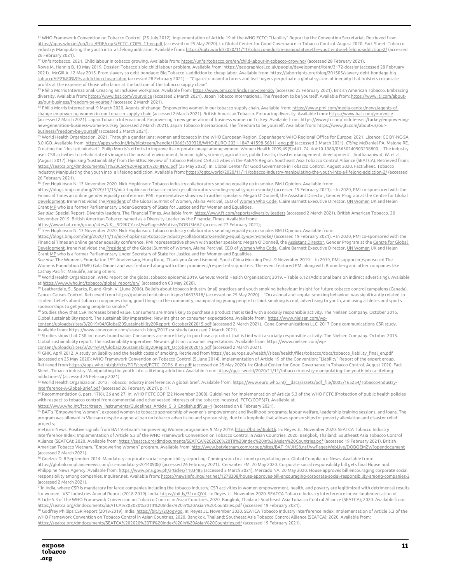<span id="page-10-0"></span>81 WHO Framework Convention on Tobacco Control. (25 July 2012). Implementation of Article 19 of the WHO FCTC: "Liability" Report by the Convention Secretariat. Retrieved from [https://apps.who.int/gb/fctc/PDF/cop5/FCTC\\_COP5\\_11-en.pdf](https://apps.who.int/gb/fctc/PDF/cop5/FCTC_COP5_11-en.pdf) (accessed on 25 May 2020). In: Global Center for Good Governance in Tobacco Control. August 2020. Fact Sheet. Tobacco industry: Manipulating the youth into a lifelong addiction. Available from[: https://ggtc.world/2020/11/11/tobacco-industry-manipulating-the-youth-into-a-lifelong-addiction-2/](https://ggtc.world/2020/11/11/tobacco-industry-manipulating-the-youth-into-a-lifelong-addiction-2/) (accessed 26 February 2021).

82 Unfairtobacco. 2021. Child labour in tobacco growing. Available from[: https://unfairtobacco.org/en/child-labour-in-tobacco-growing/](https://unfairtobacco.org/en/child-labour-in-tobacco-growing/) (accessed 28 February 2021). Rowe M, Hennig B. 10 May 2019. Dossier: Tobacco's big child labour problem. Available from[: https://geographical.co.uk/people/development/item/3172-dossier](https://geographical.co.uk/people/development/item/3172-dossier) (accessed 28 February 2021). McGill A. 12 May 2015. From slavery to debt bondage: Big Tobacco's addiction to cheap labor. Available from[: https://laborrights.org/blog/201505/slavery-debt-bondage-big](https://laborrights.org/blog/201505/slavery-debt-bondage-big-tobacco%E2%80%99s-addiction-cheap-labor)[tobacco%E2%80%99s-addiction-cheap-labor](https://laborrights.org/blog/201505/slavery-debt-bondage-big-tobacco%E2%80%99s-addiction-cheap-labor) (accessed 28 February 2021). – "Cigarette manufacturers and leaf buyers perpetuate a global system of inequity that bolsters corporate profits at the expense of those who labor at the bottom of the tobacco supply chain".

83 Philip Morris International. Creating an inclusive workplace. Available from: <u>https://www.pmi.com/inclusion-diversity</u> (accessed 25 February 2021). British American Tobacco. Embracing diversity. Available from[: https://www.bat.com/yourvoice](https://www.bat.com/yourvoice) (accessed 2 March 2021). Japan Tobacco International. The freedom to be yourself. Available from[: https://www.jti.com/about-](https://www.jti.com/about-us/our-business/freedom-be-yourself)

<u>us/our-business/freedom-be-vourself</u> (accessed 2 March 2021).<br><sup>84</sup> Philip Morris International. 9 March 2020. Agents of change: Empowering women in our tobacco supply chain. Available from: https://www.pmi.com/media-cente [change-empowering-women-in-our-tobacco-supply-chain](https://www.pmi.com/media-center/news/agents-of-change-empowering-women-in-our-tobacco-supply-chain) (accessed 2 March 2021). British American Tobacco. Embracing diversity. Available from[: https://www.bat.com/yourvoice](https://www.bat.com/yourvoice) (accessed 2 March 2021). Japan Tobacco International. Empowering a new generation of business women in Turkey. Available from[: https://www.jti.com/middle-east/turkey/empowering](https://www.jti.com/middle-east/turkey/empowering-new-generation-business-women-turkey)[new-generation-business-women-turkey](https://www.jti.com/middle-east/turkey/empowering-new-generation-business-women-turkey) (accessed 2 March 2021). Japan Tobacco International. The freedom to be yourself. Available from[: https://www.jti.com/about-us/our-](https://www.jti.com/about-us/our-business/freedom-be-yourself)

<u>business/freedom-be-yourself</u> [\(](https://www.jti.com/about-us/our-business/freedom-be-yourself)accessed 2 March 2021).<br><sup>85</sup> World Health Organization. 2021. Through a gender lens: women and tobacco in the WHO European Region. Copenhagen: WHO Regional Office for Europe; 2021. Licence: 3.0 IGO. Available from[: https://apps.who.int/iris/bitstream/handle/10665/339328/WHO-EURO-2021-1847-41598-56811-eng.pdf](https://apps.who.int/iris/bitstream/handle/10665/339328/WHO-EURO-2021-1847-41598-56811-eng.pdf) (accessed 2 March 2021). *Citing*: McDaniel PA, Malone RE. Creating the "desired mindset": Philip Morris's efforts to improve its corporate image among women. Women Health 2009;49(5):441–74. doi:10.1080/03630240903238800. – The industry uses CSR activities to rehabilitate its image in the area of environment, human rights, science, agriculture, public health, disaster management, development. Jirathanapiwat, W. et al. (August 2017). Hijacking 'Sustainability' from the SDGs: Review of Tobacco Related CSR activities in the ASEAN Region. Southeast Asia Tobacco Control Alliance (SEATCA). Retrieved from: <https://seatca.org/dmdocuments/TI%20CSR%20Report%20FINAL.pdf> (25 May 2020). In: Global Center for Good Governance in Tobacco Control. August 2020. Fact Sheet. Tobacco industry: Manipulating the youth into a lifelong addiction. Available from[: https://ggtc.world/2020/11/11/tobacco-industry-manipulating-the-youth-into-a-lifelong-addiction-2/](https://ggtc.world/2020/11/11/tobacco-industry-manipulating-the-youth-into-a-lifelong-addiction-2/) (accessed 26 February 2021).

<span id="page-10-2"></span><span id="page-10-1"></span><sup>86</sup> *See*: Hopkinson N. 13 November 2020. Nick Hopkinson: Tobacco industry collaborators sending equality up in smoke. BMJ Opinion. Available from:

<span id="page-10-3"></span><https://blogs.bmj.com/bmj/2020/11/13/nick-hopkinson-tobacco-industry-collaborators-sending-equality-up-in-smoke/> (accessed 19 February 2021). – In 2020, PMI co-sponsored with the Financial Times an online gender equality conference. PMI representative shown with aother speakers: Megan O'Donnell, the [Assistant Director,](https://acceleratingequality.live.ft.com/agenda/speakers/838585) Gender Program at the Centre for Global [Development,](https://www.cgdev.org/) Irene Natividad the [President](https://acceleratingequality.live.ft.com/agenda/speakers/840928) of the Global Summit of Women, Alaina Percival, CEO of [Women Who Code,](https://acceleratingequality.live.ft.com/agenda/speakers/856637) Claire Barnett Executive Director, [UN Women](https://acceleratingequality.live.ft.com/agenda/speakers/855392) UK and Helen Grant [MP](https://acceleratingequality.live.ft.com/agenda/speakers/847380) who is a former Parliamentary Under-Secretary of State for Justice and for Women and Equalities.

<span id="page-10-4"></span>*See also*: Special Report. Diversity leaders. The Financial Times. Available from[: https://www.ft.com/reports/diversity-leaders](https://www.ft.com/reports/diversity-leaders) (accessed 2 March 2021). British American Tobacco. 20 November 2019. British American Tobacco named as a Diversity Leader by the Financial Times. Available from:

<span id="page-10-6"></span><span id="page-10-5"></span>

<u>https://www.bat.com/qroup/sites/UK\_9D9KCY.nsf/vwPaqesWebLive/DOBJ3MA2</u> [\(](https://www.bat.com/group/sites/UK__9D9KCY.nsf/vwPagesWebLive/DOBJ3MA2)accessed 27 February 2021);<br><sup>87</sup> *See*: Hopkinson N. 13 November 2020. Nick Hopkinson: Tobacco industry collaborators sending equality up in smoke. B

<span id="page-10-8"></span><span id="page-10-7"></span><https://blogs.bmj.com/bmj/2020/11/13/nick-hopkinson-tobacco-industry-collaborators-sending-equality-up-in-smoke/> (accessed 19 February 2021). – In 2020, PMI co-sponsored with the Financial Times an online gender equality conference. PMI representative shown with aother speakers: Megan O'Donnell, the [Assistant Director,](https://acceleratingequality.live.ft.com/agenda/speakers/838585) Gender Program at the Centre for Global [Development,](https://www.cgdev.org/) Irene Natividad the [President](https://acceleratingequality.live.ft.com/agenda/speakers/840928) of the Global Summit of Women, Alaina Percival, CEO of [Women Who Code,](https://acceleratingequality.live.ft.com/agenda/speakers/856637) Claire Barnett Executive Director, [UN Women](https://acceleratingequality.live.ft.com/agenda/speakers/855392) UK and Helen Grant [MP](https://acceleratingequality.live.ft.com/agenda/speakers/847380) who is a former Parliamentary Under-Secretary of State for Justice and for Women and Equalities.

<span id="page-10-9"></span>*See also*: The Women's Foundation 15th Anniversary, Hong Kong. Thank you Advertisement. South China Morning Post. 9 November 2019. – In 2019, PMI supported/sponsored The Womens Foundation (TWF) Gala Dinner and was featured along with other prominent/respected supporters. The event featured PMI along with Bloomberg and other companies like Cathay Pacific, Manulife, among others.

<span id="page-10-10"></span>88 World Health Organization. WHO report on the global tobacco epidemic 2019. Geneva: World Health Organization; 2019. - Table 6.12 (Additional bans on indirect advertising). Available a[t https://www.who.int/tobacco/global\\_report/en/](https://www.who.int/tobacco/global_report/en/) (accessed on 03 May 2020).

<span id="page-10-11"></span><sup>89</sup> Leatherdale, S., Sparks, R, and Kirsh, V. (June 2006). Beliefs about tobacco industry (mal) practices and youth smoking behaviour: insight for future tobacco control campaigns (Canada).<br>Cancer Causes Control. Retrieve student beliefs about tobacco companies doing good things in the community, manipulating young people to think smoking is cool, advertising to youth, and using athletes and sports sponsorships to get young people to smoke."

<sup>90</sup> Studies show that CSR increases brand value. Consumers are more likely to purchase a product that is tied with a socially responsible activity. The Nielsen Company. October 2015. Global sustainability report. The sustainability imperative: New insights on consumer expectations. Available from: [https://www.nielsen.com/wp-](https://www.nielsen.com/wp-content/uploads/sites/3/2019/04/Global20Sustainability20Report_October202015.pdf)

[content/uploads/sites/3/2019/04/Global20Sustainability20Report\\_October202015.pdf](https://www.nielsen.com/wp-content/uploads/sites/3/2019/04/Global20Sustainability20Report_October202015.pdf) (accessed 2 March 2021). Cone Communications LLC. 2017 Cone communications CSR study.

Available from: https://www.conecomm.com/research-blog/2017-csr-study (accessed 2 March 2021).<br><sup>91</sup> Studies show that CSR increases brand value. Consumers are more likely to purchase a product that is tied with a socially Global sustainability report. The sustainability imperative: New insights on consumer expectations. Available from[: https://www.nielsen.com/wp-](https://www.nielsen.com/wp-content/uploads/sites/3/2019/04/Global20Sustainability20Report_October202015.pdf)

<span id="page-10-13"></span><span id="page-10-12"></span>content/uploads/sites/3/2019/04/Global20Sustainability20Report\_October202015.pdf [\(](https://www.nielsen.com/wp-content/uploads/sites/3/2019/04/Global20Sustainability20Report_October202015.pdf)accessed 2 March 2021).<br><sup>92</sup> GHK. April 2012. A study on liability and the health costs of smoking. Retrieved from https://ec.europa.eu/heal (accessed on 25 May 2020); WHO Framework Convention on Tobacco Control (5 June 2014). Implementation of Article 19 of the Convention: "Liability" Report of the expert group. Retrieved fro[m https://apps.who.int/gb/fctc/PDF/cop6/FCTC\\_COP6\\_8-en.pdf](https://apps.who.int/gb/fctc/PDF/cop6/FCTC_COP6_8-en.pdf) (accessed on 25 May 2020). In: Global Center for Good Governance in Tobacco Control. August 2020. Fact Sheet. Tobacco industry: Manipulating the youth into a lifelong addiction. Available from[: https://ggtc.world/2020/11/11/tobacco-industry-manipulating-the-youth-into-a-lifelong](https://ggtc.world/2020/11/11/tobacco-industry-manipulating-the-youth-into-a-lifelong-addiction-2/)[addiction-2/](https://ggtc.world/2020/11/11/tobacco-industry-manipulating-the-youth-into-a-lifelong-addiction-2/) (accessed 26 February 2021).

<span id="page-10-15"></span><span id="page-10-14"></span>93 World Health Organization. 2012. Tobacco industry interference: A global brief. Available from: <u>https://www.euro.who.int/\_\_data/assets/pdf\_file/0005/165254/Tobacco-Industry-</u> <u>Interference-A-Global-Brief.pdf</u> [\(](https://www.euro.who.int/__data/assets/pdf_file/0005/165254/Tobacco-Industry-Interference-A-Global-Brief.pdf)accessed 26 February 2021). p. 17.<br><sup>94</sup> Recommendation 6, pars. 17(6), 26 and 27. In: WHO FCTC COP (22 November 2008). Guidelines for implementation of Article 5.3 of the WHO FCTC (Protec

with respect to tobacco control from commercial and other vested interests of the tobacco industry). FCTC/COP3(7). Available at

[https://www.who.int/fctc/treaty\\_instruments/Guidelines\\_Article\\_5\\_3\\_English.pdf?ua=1](https://www.who.int/fctc/treaty_instruments/Guidelines_Article_5_3_English.pdf?ua=1) (accessed on 8 February 2021).

<sup>95</sup> BAT's "Empowering Women", exposed women to tobacco sponsorship of women's empowerment and livelihood programs, labour welfare, leadership training sessions, and loans. The program was allowed in Vietnam despite a general ban on tobacco advertising and sponsorship, due to a loophole that allows sponsorships for poverty alleviation and disaster relief projects;

Vietnam News. Positive signals from BAT Vietnam's Empowering Women programme. 9 May 2019. <u>https://bit.ly/3iuldOi</u>. In: Reyes JL. November 2020. SEATCA Tobacco Industry Interference Index: Implementation of Article 5.3 of the WHO Framework Convention on Tobacco Control in Asian Countries, 2020. Bangkok, Thailand: Southeast Asia Tobacco Control Alliance (SEATCA); 2020. Available from[: https://seatca.org/dmdocuments/SEATCA%202020%20TII%20Index%20in%20Asian%20Countries.pdf](https://seatca.org/dmdocuments/SEATCA%202020%20TII%20Index%20in%20Asian%20Countries.pdf) (accessed 19 February 2021). British American Tobacco Vietnam. "Empowering Women" program. Available from[: http://www.batvietnam.com/group/sites/BAT\\_9VJH58.nsf/vwPagesWebLive/DOBQEMZW?opendocument](http://www.batvietnam.com/group/sites/BAT_9VJH58.nsf/vwPagesWebLive/DOBQEMZW?opendocument) (accessed 2 March 2021).

 $\rm{^{96}}$  Goelzer D. 8 September 2014. Mandatory corporate social responsibility reporting: Coming soon to a country regulating you. Global Compliance News. Available from: <https://globalcompliancenews.com/csr-mandatory-20140908/> (accessed 26 February 2021). Cervantes FM. 20 May 2020. Corporate social responsibility bill gets final House nod. Philippine News Agency. Available from[: https://www.pna.gov.ph/articles/1103485](https://www.pna.gov.ph/articles/1103485) (accessed 2 March 2021). Mercado NA. 20 May 2020. House approves bill encouraging corporate social responsibility among companies. Inquirer.net. Available from[: https://newsinfo.inquirer.net/1278308/house-approves-bill-encouraging-corporate-social-responsibility-among-companies-2](https://newsinfo.inquirer.net/1278308/house-approves-bill-encouraging-corporate-social-responsibility-among-companies-2) (accessed 2 March 2021).

<sup>97</sup>In India, where CSR is mandatory for large companies including the tobacco industry, CSR activities in women empowerment, health, and poverty are legitimized with detrimental results for women. VST Industries Annual Report (2018-2019). India[. https://bit.ly/31rmQYd.](https://bit.ly/31rmQYd) In: Reyes JL. November 2020. SEATCA Tobacco Industry Interference Index: Implementation of Article 5.3 of the WHO Framework Convention on Tobacco Control in Asian Countries, 2020. Bangkok, Thailand: Southeast Asia Tobacco Control Alliance (SEATCA); 2020. Available from:

<span id="page-10-17"></span><span id="page-10-16"></span>h<u>ttps://seatca.org/dmdocuments/SEATCA%202020%20TII%20Index%20in%20Asian%20Countries.pdf</u> [\(](https://seatca.org/dmdocuments/SEATCA%202020%20TII%20Index%20in%20Asian%20Countries.pdf)accessed 19 February 2021).<br><sup>98</sup> Godfrey Phillips CSR Report (2018-2019). India. <u>https://bit.ly/2QoqVqo</u>. In: Reyes JL. November 2 WHO Framework Convention on Tobacco Control in Asian Countries, 2020. Bangkok, Thailand: Southeast Asia Tobacco Control Alliance (SEATCA); 2020. Available from: <https://seatca.org/dmdocuments/SEATCA%202020%20TII%20Index%20in%20Asian%20Countries.pdf> (accessed 19 February 2021).